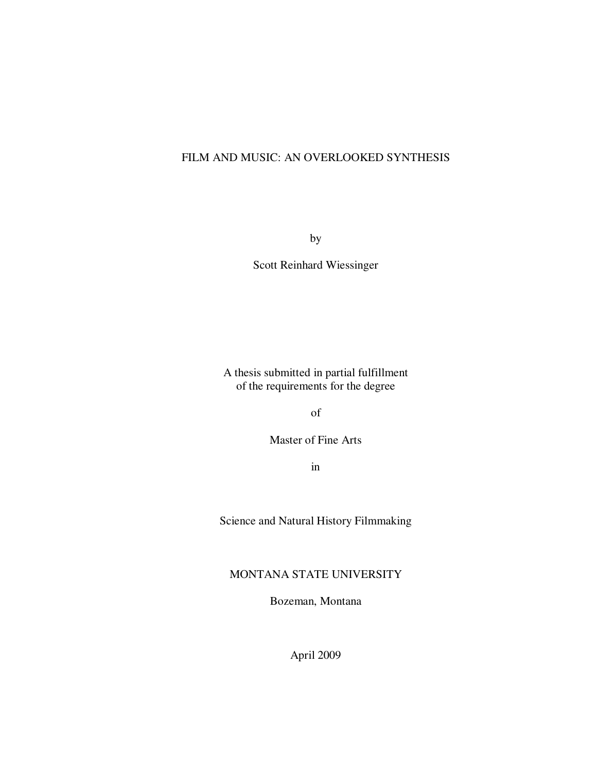# FILM AND MUSIC: AN OVERLOOKED SYNTHESIS

by

Scott Reinhard Wiessinger

A thesis submitted in partial fulfillment of the requirements for the degree

of

Master of Fine Arts

in

Science and Natural History Filmmaking

## MONTANA STATE UNIVERSITY

Bozeman, Montana

April 2009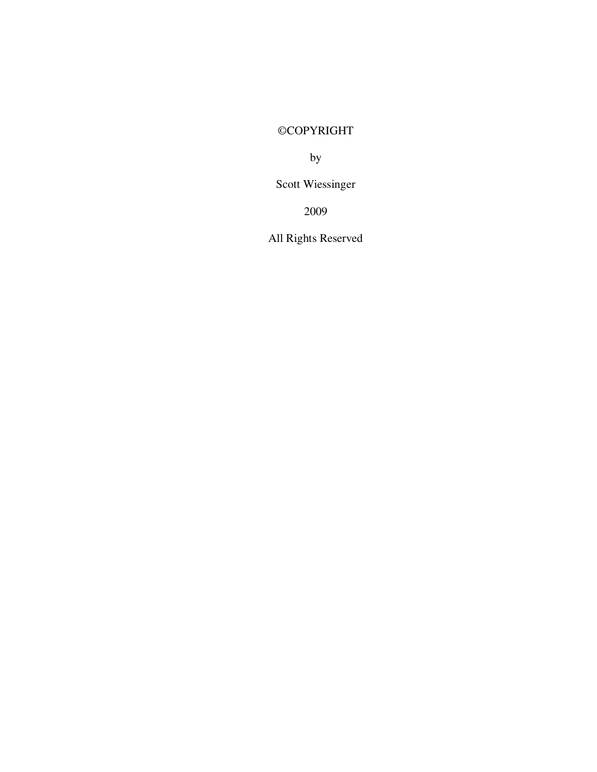# ©COPYRIGHT

by

Scott Wiessinger

2009

All Rights Reserved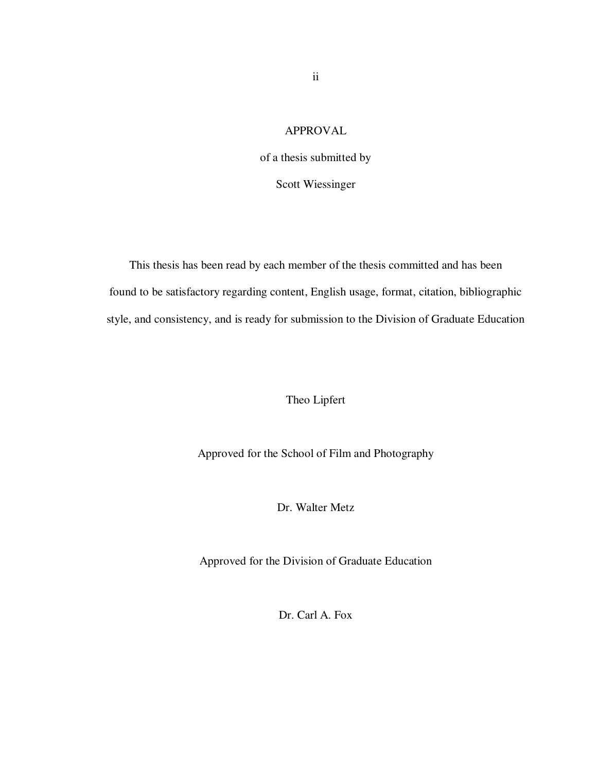### APPROVAL

of a thesis submitted by

Scott Wiessinger

This thesis has been read by each member of the thesis committed and has been found to be satisfactory regarding content, English usage, format, citation, bibliographic style, and consistency, and is ready for submission to the Division of Graduate Education

Theo Lipfert

Approved for the School of Film and Photography

Dr. Walter Metz

Approved for the Division of Graduate Education

Dr. Carl A. Fox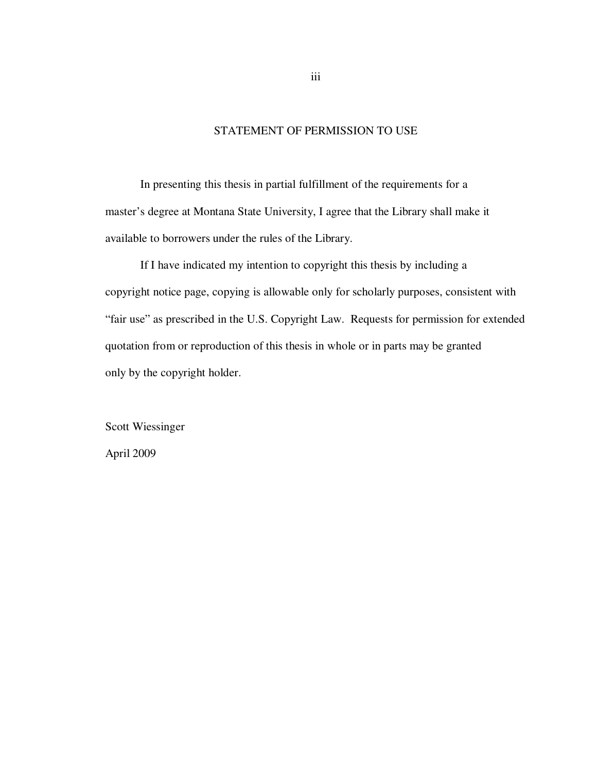### STATEMENT OF PERMISSION TO USE

In presenting this thesis in partial fulfillment of the requirements for a master's degree at Montana State University, I agree that the Library shall make it available to borrowers under the rules of the Library.

If I have indicated my intention to copyright this thesis by including a copyright notice page, copying is allowable only for scholarly purposes, consistent with "fair use" as prescribed in the U.S. Copyright Law. Requests for permission for extended quotation from or reproduction of this thesis in whole or in parts may be granted only by the copyright holder.

Scott Wiessinger

April 2009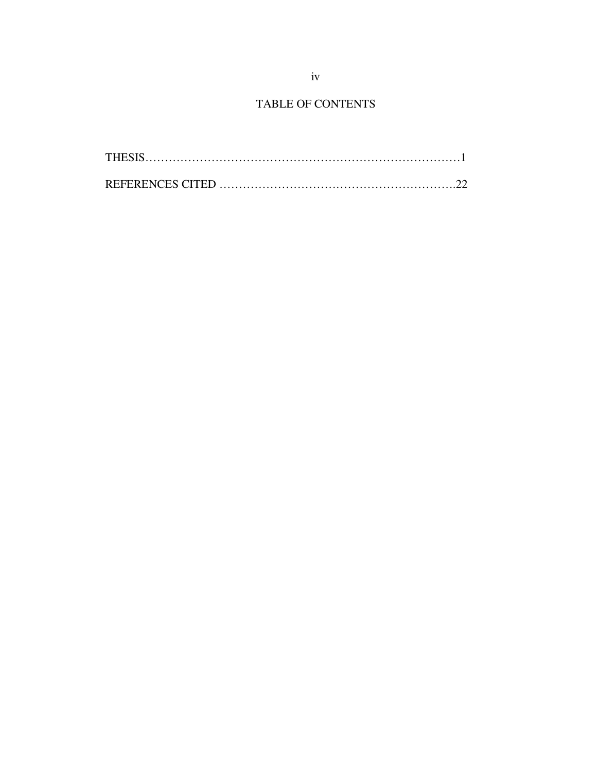# TABLE OF CONTENTS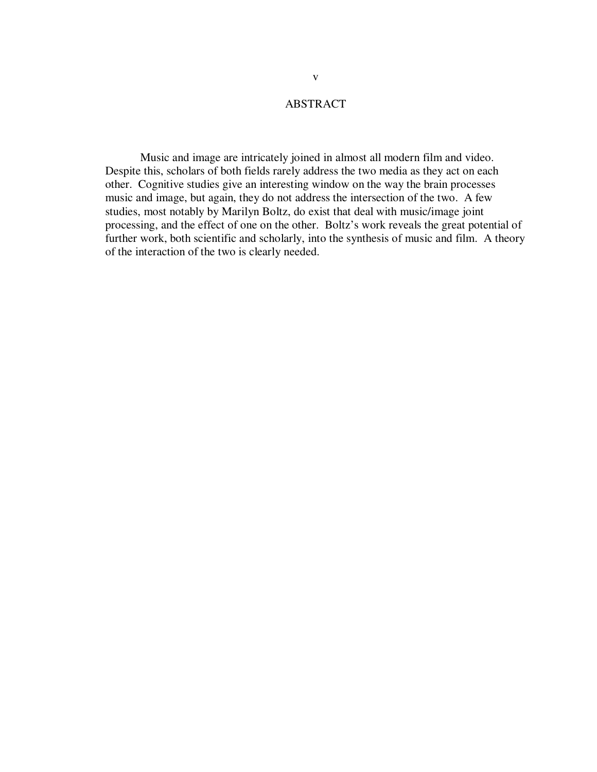#### ABSTRACT

Music and image are intricately joined in almost all modern film and video. Despite this, scholars of both fields rarely address the two media as they act on each other. Cognitive studies give an interesting window on the way the brain processes music and image, but again, they do not address the intersection of the two. A few studies, most notably by Marilyn Boltz, do exist that deal with music/image joint processing, and the effect of one on the other. Boltz's work reveals the great potential of further work, both scientific and scholarly, into the synthesis of music and film. A theory of the interaction of the two is clearly needed.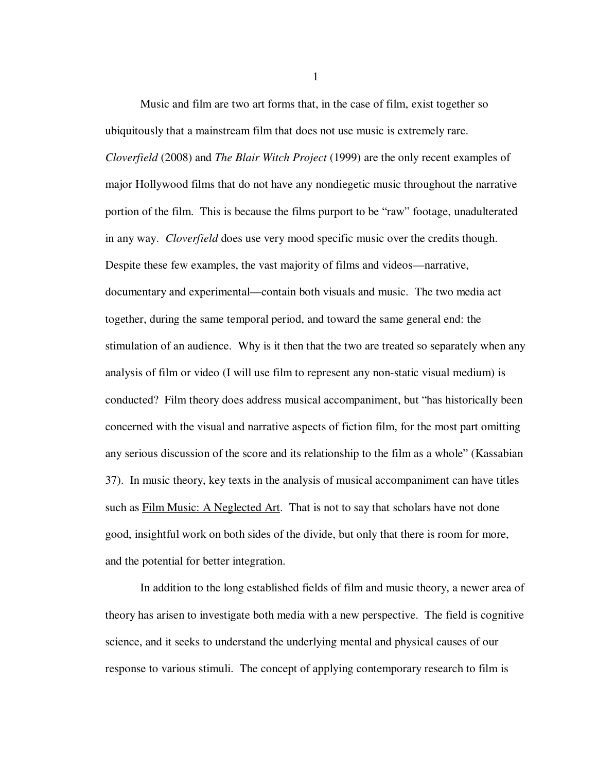Music and film are two art forms that, in the case of film, exist together so ubiquitously that a mainstream film that does not use music is extremely rare. *Cloverfield* (2008) and *The Blair Witch Project* (1999) are the only recent examples of major Hollywood films that do not have any nondiegetic music throughout the narrative portion of the film. This is because the films purport to be "raw" footage, unadulterated in any way. *Cloverfield* does use very mood specific music over the credits though. Despite these few examples, the vast majority of films and videos—narrative, documentary and experimental—contain both visuals and music. The two media act together, during the same temporal period, and toward the same general end: the stimulation of an audience. Why is it then that the two are treated so separately when any analysis of film or video (I will use film to represent any non-static visual medium) is conducted? Film theory does address musical accompaniment, but "has historically been concerned with the visual and narrative aspects of fiction film, for the most part omitting any serious discussion of the score and its relationship to the film as a whole" (Kassabian 37). In music theory, key texts in the analysis of musical accompaniment can have titles such as **Film Music:** A Neglected Art. That is not to say that scholars have not done good, insightful work on both sides of the divide, but only that there is room for more, and the potential for better integration.

In addition to the long established fields of film and music theory, a newer area of theory has arisen to investigate both media with a new perspective. The field is cognitive science, and it seeks to understand the underlying mental and physical causes of our response to various stimuli. The concept of applying contemporary research to film is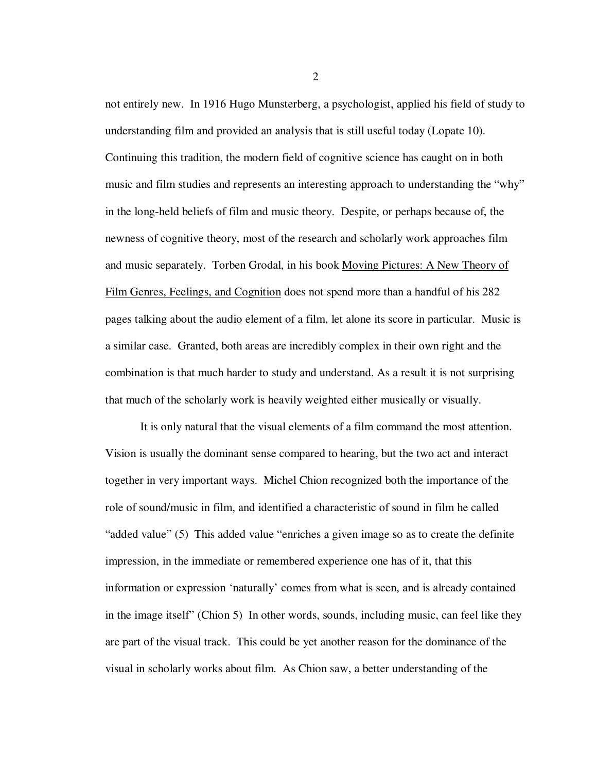not entirely new. In 1916 Hugo Munsterberg, a psychologist, applied his field of study to understanding film and provided an analysis that is still useful today (Lopate 10). Continuing this tradition, the modern field of cognitive science has caught on in both music and film studies and represents an interesting approach to understanding the "why" in the long-held beliefs of film and music theory. Despite, or perhaps because of, the newness of cognitive theory, most of the research and scholarly work approaches film and music separately. Torben Grodal, in his book Moving Pictures: A New Theory of Film Genres, Feelings, and Cognition does not spend more than a handful of his 282 pages talking about the audio element of a film, let alone its score in particular. Music is a similar case. Granted, both areas are incredibly complex in their own right and the combination is that much harder to study and understand. As a result it is not surprising that much of the scholarly work is heavily weighted either musically or visually.

It is only natural that the visual elements of a film command the most attention. Vision is usually the dominant sense compared to hearing, but the two act and interact together in very important ways. Michel Chion recognized both the importance of the role of sound/music in film, and identified a characteristic of sound in film he called "added value" (5) This added value "enriches a given image so as to create the definite impression, in the immediate or remembered experience one has of it, that this information or expression 'naturally' comes from what is seen, and is already contained in the image itself" (Chion 5) In other words, sounds, including music, can feel like they are part of the visual track. This could be yet another reason for the dominance of the visual in scholarly works about film. As Chion saw, a better understanding of the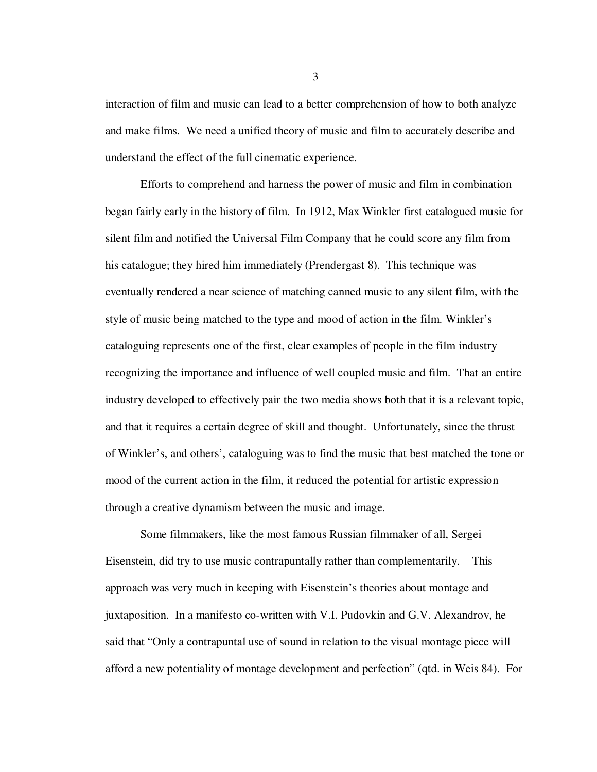interaction of film and music can lead to a better comprehension of how to both analyze and make films. We need a unified theory of music and film to accurately describe and understand the effect of the full cinematic experience.

Efforts to comprehend and harness the power of music and film in combination began fairly early in the history of film. In 1912, Max Winkler first catalogued music for silent film and notified the Universal Film Company that he could score any film from his catalogue; they hired him immediately (Prendergast 8). This technique was eventually rendered a near science of matching canned music to any silent film, with the style of music being matched to the type and mood of action in the film. Winkler's cataloguing represents one of the first, clear examples of people in the film industry recognizing the importance and influence of well coupled music and film. That an entire industry developed to effectively pair the two media shows both that it is a relevant topic, and that it requires a certain degree of skill and thought. Unfortunately, since the thrust of Winkler's, and others', cataloguing was to find the music that best matched the tone or mood of the current action in the film, it reduced the potential for artistic expression through a creative dynamism between the music and image.

Some filmmakers, like the most famous Russian filmmaker of all, Sergei Eisenstein, did try to use music contrapuntally rather than complementarily. This approach was very much in keeping with Eisenstein's theories about montage and juxtaposition. In a manifesto co-written with V.I. Pudovkin and G.V. Alexandrov, he said that "Only a contrapuntal use of sound in relation to the visual montage piece will afford a new potentiality of montage development and perfection" (qtd. in Weis 84). For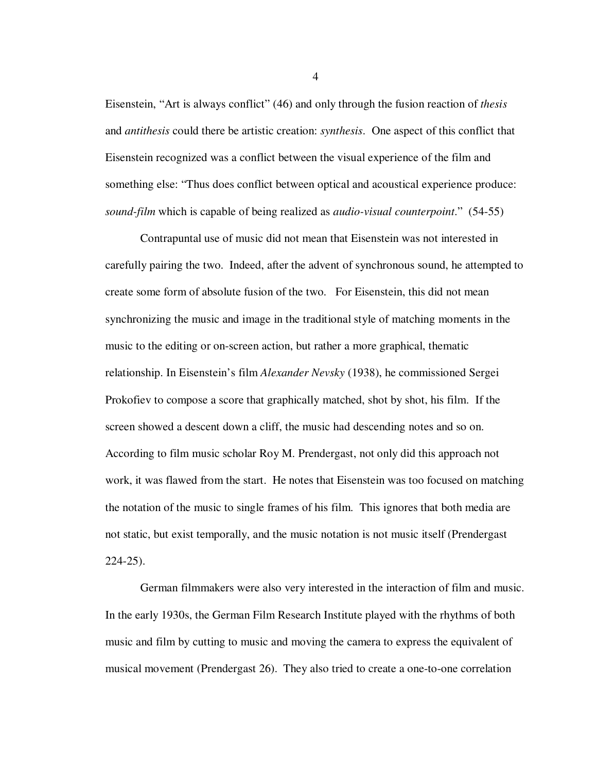Eisenstein, "Art is always conflict" (46) and only through the fusion reaction of *thesis* and *antithesis* could there be artistic creation: *synthesis*. One aspect of this conflict that Eisenstein recognized was a conflict between the visual experience of the film and something else: "Thus does conflict between optical and acoustical experience produce: *sound-film* which is capable of being realized as *audio-visual counterpoint*." (54-55)

Contrapuntal use of music did not mean that Eisenstein was not interested in carefully pairing the two. Indeed, after the advent of synchronous sound, he attempted to create some form of absolute fusion of the two. For Eisenstein, this did not mean synchronizing the music and image in the traditional style of matching moments in the music to the editing or on-screen action, but rather a more graphical, thematic relationship. In Eisenstein's film *Alexander Nevsky* (1938), he commissioned Sergei Prokofiev to compose a score that graphically matched, shot by shot, his film. If the screen showed a descent down a cliff, the music had descending notes and so on. According to film music scholar Roy M. Prendergast, not only did this approach not work, it was flawed from the start. He notes that Eisenstein was too focused on matching the notation of the music to single frames of his film. This ignores that both media are not static, but exist temporally, and the music notation is not music itself (Prendergast 224-25).

German filmmakers were also very interested in the interaction of film and music. In the early 1930s, the German Film Research Institute played with the rhythms of both music and film by cutting to music and moving the camera to express the equivalent of musical movement (Prendergast 26). They also tried to create a one-to-one correlation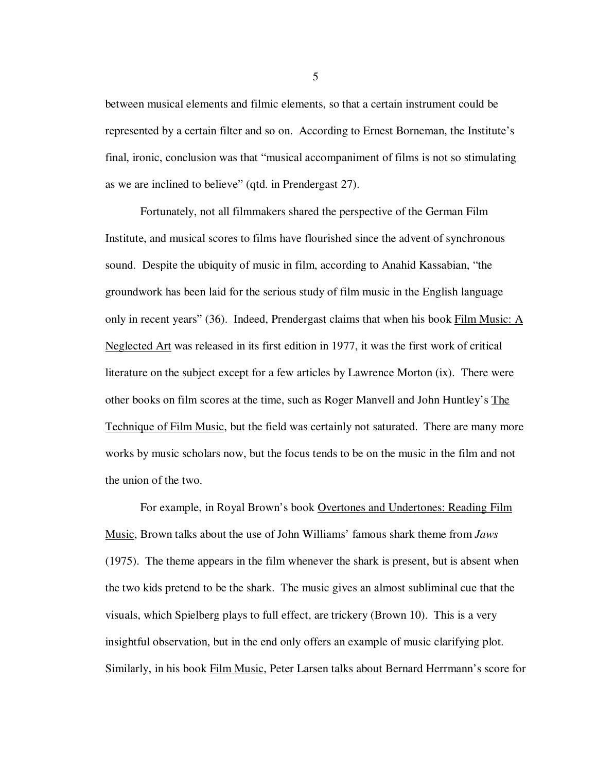between musical elements and filmic elements, so that a certain instrument could be represented by a certain filter and so on. According to Ernest Borneman, the Institute's final, ironic, conclusion was that "musical accompaniment of films is not so stimulating as we are inclined to believe" (qtd. in Prendergast 27).

Fortunately, not all filmmakers shared the perspective of the German Film Institute, and musical scores to films have flourished since the advent of synchronous sound. Despite the ubiquity of music in film, according to Anahid Kassabian, "the groundwork has been laid for the serious study of film music in the English language only in recent years" (36). Indeed, Prendergast claims that when his book Film Music: A Neglected Art was released in its first edition in 1977, it was the first work of critical literature on the subject except for a few articles by Lawrence Morton (ix). There were other books on film scores at the time, such as Roger Manvell and John Huntley's The Technique of Film Music, but the field was certainly not saturated. There are many more works by music scholars now, but the focus tends to be on the music in the film and not the union of the two.

For example, in Royal Brown's book Overtones and Undertones: Reading Film Music, Brown talks about the use of John Williams' famous shark theme from *Jaws*  (1975). The theme appears in the film whenever the shark is present, but is absent when the two kids pretend to be the shark. The music gives an almost subliminal cue that the visuals, which Spielberg plays to full effect, are trickery (Brown 10). This is a very insightful observation, but in the end only offers an example of music clarifying plot. Similarly, in his book Film Music, Peter Larsen talks about Bernard Herrmann's score for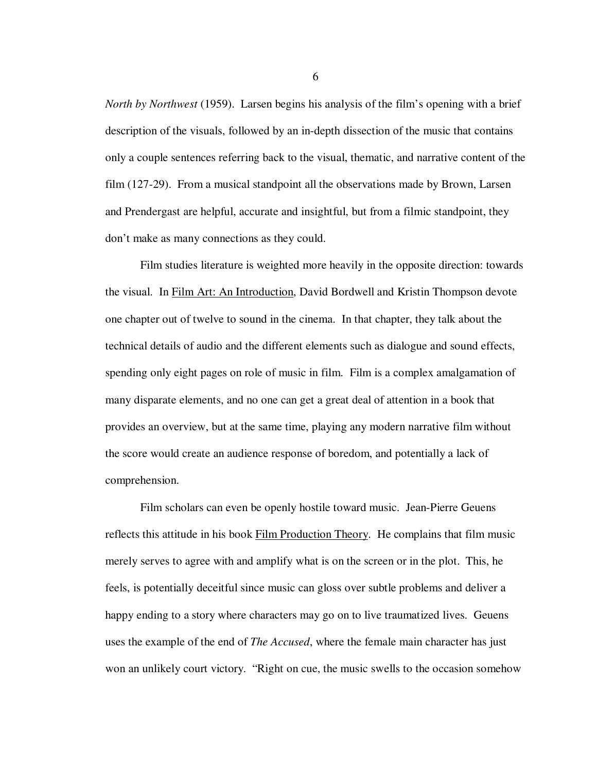*North by Northwest* (1959). Larsen begins his analysis of the film's opening with a brief description of the visuals, followed by an in-depth dissection of the music that contains only a couple sentences referring back to the visual, thematic, and narrative content of the film (127-29). From a musical standpoint all the observations made by Brown, Larsen and Prendergast are helpful, accurate and insightful, but from a filmic standpoint, they don't make as many connections as they could.

Film studies literature is weighted more heavily in the opposite direction: towards the visual. In Film Art: An Introduction, David Bordwell and Kristin Thompson devote one chapter out of twelve to sound in the cinema. In that chapter, they talk about the technical details of audio and the different elements such as dialogue and sound effects, spending only eight pages on role of music in film. Film is a complex amalgamation of many disparate elements, and no one can get a great deal of attention in a book that provides an overview, but at the same time, playing any modern narrative film without the score would create an audience response of boredom, and potentially a lack of comprehension.

Film scholars can even be openly hostile toward music. Jean-Pierre Geuens reflects this attitude in his book Film Production Theory. He complains that film music merely serves to agree with and amplify what is on the screen or in the plot. This, he feels, is potentially deceitful since music can gloss over subtle problems and deliver a happy ending to a story where characters may go on to live traumatized lives. Geuens uses the example of the end of *The Accused*, where the female main character has just won an unlikely court victory. "Right on cue, the music swells to the occasion somehow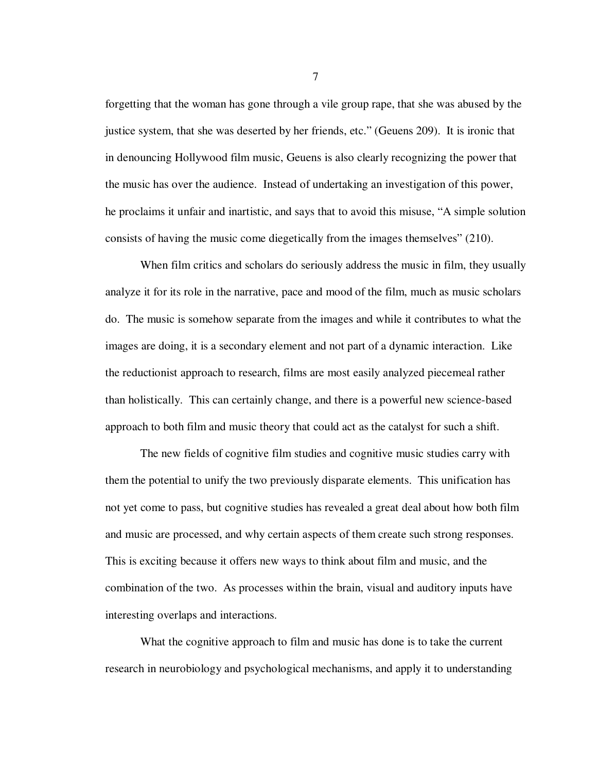forgetting that the woman has gone through a vile group rape, that she was abused by the justice system, that she was deserted by her friends, etc." (Geuens 209). It is ironic that in denouncing Hollywood film music, Geuens is also clearly recognizing the power that the music has over the audience. Instead of undertaking an investigation of this power, he proclaims it unfair and inartistic, and says that to avoid this misuse, "A simple solution consists of having the music come diegetically from the images themselves" (210).

When film critics and scholars do seriously address the music in film, they usually analyze it for its role in the narrative, pace and mood of the film, much as music scholars do. The music is somehow separate from the images and while it contributes to what the images are doing, it is a secondary element and not part of a dynamic interaction. Like the reductionist approach to research, films are most easily analyzed piecemeal rather than holistically. This can certainly change, and there is a powerful new science-based approach to both film and music theory that could act as the catalyst for such a shift.

The new fields of cognitive film studies and cognitive music studies carry with them the potential to unify the two previously disparate elements. This unification has not yet come to pass, but cognitive studies has revealed a great deal about how both film and music are processed, and why certain aspects of them create such strong responses. This is exciting because it offers new ways to think about film and music, and the combination of the two. As processes within the brain, visual and auditory inputs have interesting overlaps and interactions.

What the cognitive approach to film and music has done is to take the current research in neurobiology and psychological mechanisms, and apply it to understanding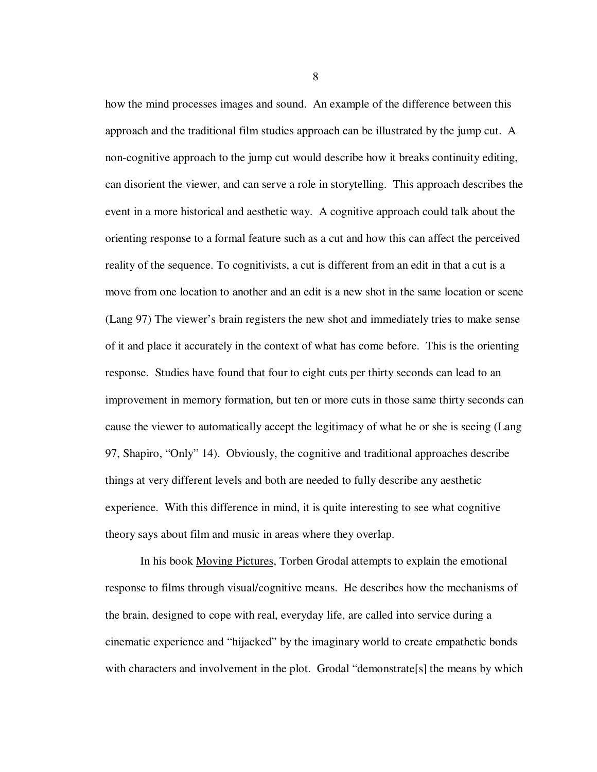how the mind processes images and sound. An example of the difference between this approach and the traditional film studies approach can be illustrated by the jump cut. A non-cognitive approach to the jump cut would describe how it breaks continuity editing, can disorient the viewer, and can serve a role in storytelling. This approach describes the event in a more historical and aesthetic way. A cognitive approach could talk about the orienting response to a formal feature such as a cut and how this can affect the perceived reality of the sequence. To cognitivists, a cut is different from an edit in that a cut is a move from one location to another and an edit is a new shot in the same location or scene (Lang 97) The viewer's brain registers the new shot and immediately tries to make sense of it and place it accurately in the context of what has come before. This is the orienting response. Studies have found that four to eight cuts per thirty seconds can lead to an improvement in memory formation, but ten or more cuts in those same thirty seconds can cause the viewer to automatically accept the legitimacy of what he or she is seeing (Lang 97, Shapiro, "Only" 14). Obviously, the cognitive and traditional approaches describe things at very different levels and both are needed to fully describe any aesthetic experience. With this difference in mind, it is quite interesting to see what cognitive theory says about film and music in areas where they overlap.

In his book Moving Pictures, Torben Grodal attempts to explain the emotional response to films through visual/cognitive means. He describes how the mechanisms of the brain, designed to cope with real, everyday life, are called into service during a cinematic experience and "hijacked" by the imaginary world to create empathetic bonds with characters and involvement in the plot. Grodal "demonstrate<sup>[s]</sup> the means by which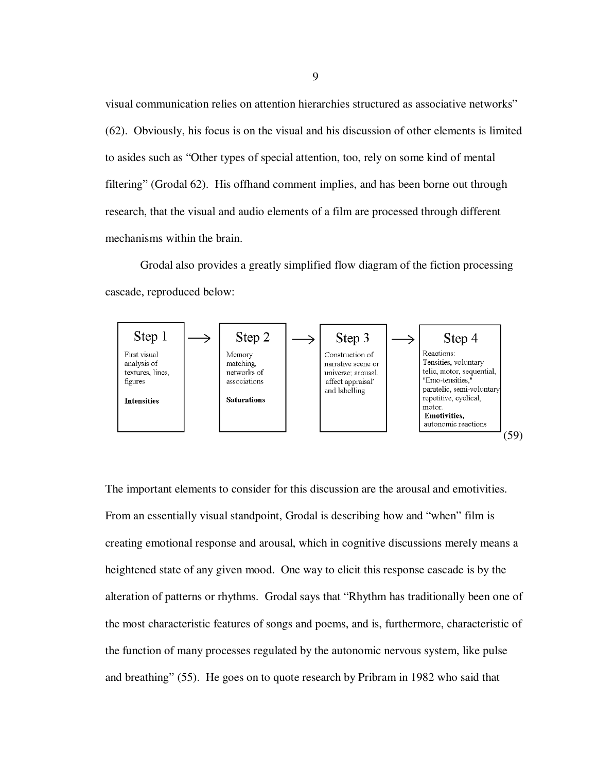visual communication relies on attention hierarchies structured as associative networks" (62). Obviously, his focus is on the visual and his discussion of other elements is limited to asides such as "Other types of special attention, too, rely on some kind of mental filtering" (Grodal 62). His offhand comment implies, and has been borne out through research, that the visual and audio elements of a film are processed through different mechanisms within the brain.

Grodal also provides a greatly simplified flow diagram of the fiction processing cascade, reproduced below:



The important elements to consider for this discussion are the arousal and emotivities. From an essentially visual standpoint, Grodal is describing how and "when" film is creating emotional response and arousal, which in cognitive discussions merely means a heightened state of any given mood. One way to elicit this response cascade is by the alteration of patterns or rhythms. Grodal says that "Rhythm has traditionally been one of the most characteristic features of songs and poems, and is, furthermore, characteristic of the function of many processes regulated by the autonomic nervous system, like pulse and breathing" (55). He goes on to quote research by Pribram in 1982 who said that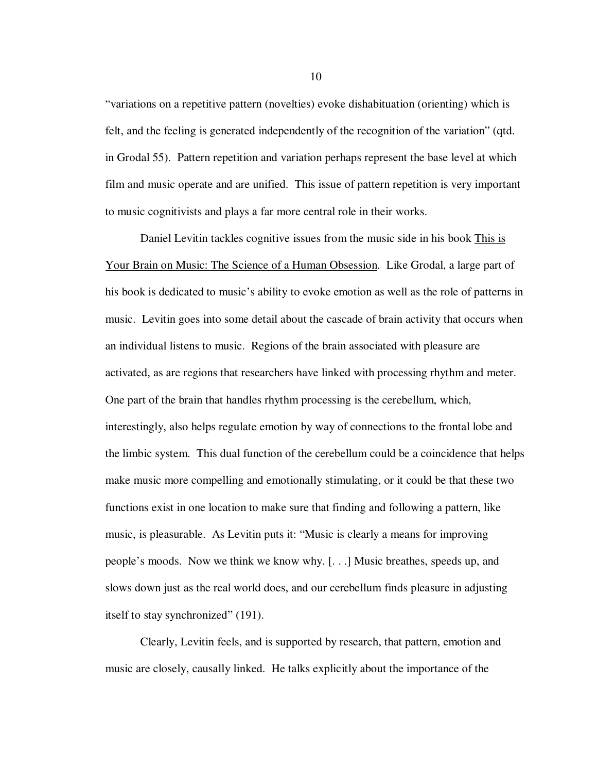"variations on a repetitive pattern (novelties) evoke dishabituation (orienting) which is felt, and the feeling is generated independently of the recognition of the variation" (qtd. in Grodal 55). Pattern repetition and variation perhaps represent the base level at which film and music operate and are unified. This issue of pattern repetition is very important to music cognitivists and plays a far more central role in their works.

Daniel Levitin tackles cognitive issues from the music side in his book This is Your Brain on Music: The Science of a Human Obsession. Like Grodal, a large part of his book is dedicated to music's ability to evoke emotion as well as the role of patterns in music. Levitin goes into some detail about the cascade of brain activity that occurs when an individual listens to music. Regions of the brain associated with pleasure are activated, as are regions that researchers have linked with processing rhythm and meter. One part of the brain that handles rhythm processing is the cerebellum, which, interestingly, also helps regulate emotion by way of connections to the frontal lobe and the limbic system. This dual function of the cerebellum could be a coincidence that helps make music more compelling and emotionally stimulating, or it could be that these two functions exist in one location to make sure that finding and following a pattern, like music, is pleasurable. As Levitin puts it: "Music is clearly a means for improving people's moods. Now we think we know why. [. . .] Music breathes, speeds up, and slows down just as the real world does, and our cerebellum finds pleasure in adjusting itself to stay synchronized" (191).

Clearly, Levitin feels, and is supported by research, that pattern, emotion and music are closely, causally linked. He talks explicitly about the importance of the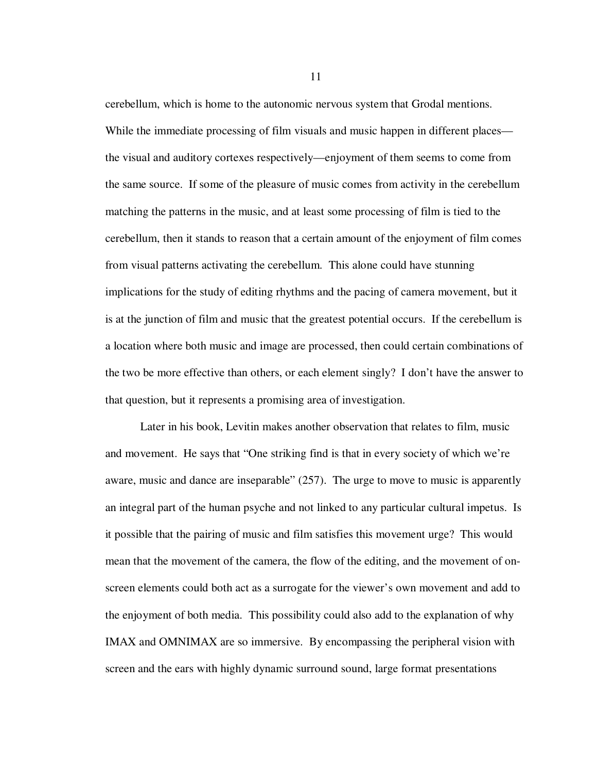cerebellum, which is home to the autonomic nervous system that Grodal mentions. While the immediate processing of film visuals and music happen in different places the visual and auditory cortexes respectively—enjoyment of them seems to come from the same source. If some of the pleasure of music comes from activity in the cerebellum matching the patterns in the music, and at least some processing of film is tied to the cerebellum, then it stands to reason that a certain amount of the enjoyment of film comes from visual patterns activating the cerebellum. This alone could have stunning implications for the study of editing rhythms and the pacing of camera movement, but it is at the junction of film and music that the greatest potential occurs. If the cerebellum is a location where both music and image are processed, then could certain combinations of the two be more effective than others, or each element singly? I don't have the answer to that question, but it represents a promising area of investigation.

Later in his book, Levitin makes another observation that relates to film, music and movement. He says that "One striking find is that in every society of which we're aware, music and dance are inseparable" (257). The urge to move to music is apparently an integral part of the human psyche and not linked to any particular cultural impetus. Is it possible that the pairing of music and film satisfies this movement urge? This would mean that the movement of the camera, the flow of the editing, and the movement of onscreen elements could both act as a surrogate for the viewer's own movement and add to the enjoyment of both media. This possibility could also add to the explanation of why IMAX and OMNIMAX are so immersive. By encompassing the peripheral vision with screen and the ears with highly dynamic surround sound, large format presentations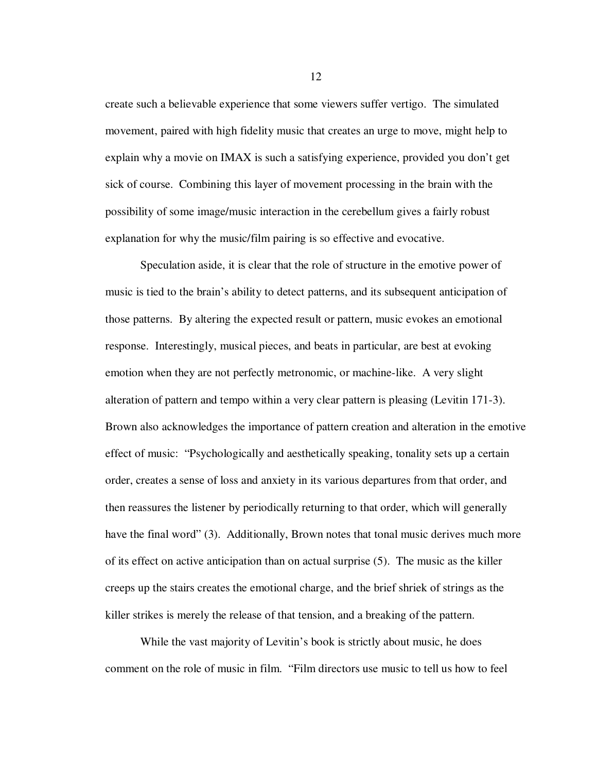create such a believable experience that some viewers suffer vertigo. The simulated movement, paired with high fidelity music that creates an urge to move, might help to explain why a movie on IMAX is such a satisfying experience, provided you don't get sick of course. Combining this layer of movement processing in the brain with the possibility of some image/music interaction in the cerebellum gives a fairly robust explanation for why the music/film pairing is so effective and evocative.

Speculation aside, it is clear that the role of structure in the emotive power of music is tied to the brain's ability to detect patterns, and its subsequent anticipation of those patterns. By altering the expected result or pattern, music evokes an emotional response. Interestingly, musical pieces, and beats in particular, are best at evoking emotion when they are not perfectly metronomic, or machine-like. A very slight alteration of pattern and tempo within a very clear pattern is pleasing (Levitin 171-3). Brown also acknowledges the importance of pattern creation and alteration in the emotive effect of music: "Psychologically and aesthetically speaking, tonality sets up a certain order, creates a sense of loss and anxiety in its various departures from that order, and then reassures the listener by periodically returning to that order, which will generally have the final word" (3). Additionally, Brown notes that tonal music derives much more of its effect on active anticipation than on actual surprise (5). The music as the killer creeps up the stairs creates the emotional charge, and the brief shriek of strings as the killer strikes is merely the release of that tension, and a breaking of the pattern.

While the vast majority of Levitin's book is strictly about music, he does comment on the role of music in film. "Film directors use music to tell us how to feel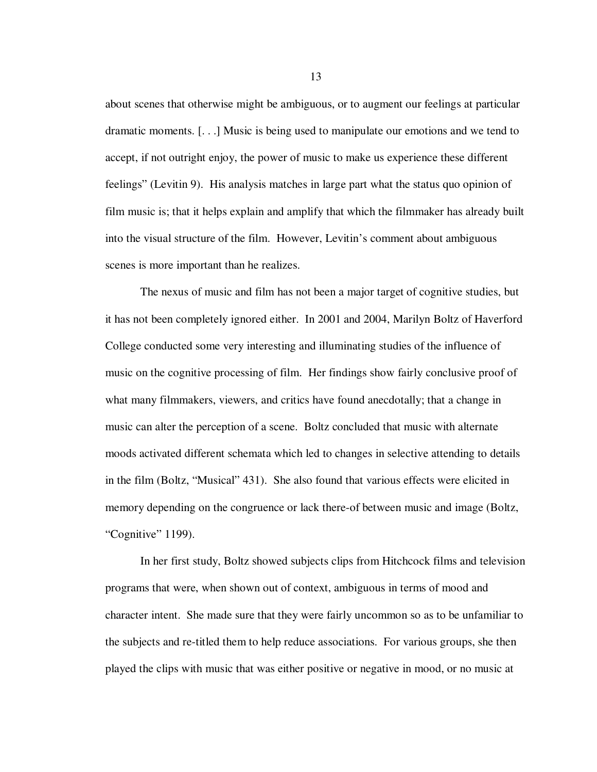about scenes that otherwise might be ambiguous, or to augment our feelings at particular dramatic moments. [. . .] Music is being used to manipulate our emotions and we tend to accept, if not outright enjoy, the power of music to make us experience these different feelings" (Levitin 9). His analysis matches in large part what the status quo opinion of film music is; that it helps explain and amplify that which the filmmaker has already built into the visual structure of the film. However, Levitin's comment about ambiguous scenes is more important than he realizes.

The nexus of music and film has not been a major target of cognitive studies, but it has not been completely ignored either. In 2001 and 2004, Marilyn Boltz of Haverford College conducted some very interesting and illuminating studies of the influence of music on the cognitive processing of film. Her findings show fairly conclusive proof of what many filmmakers, viewers, and critics have found anecdotally; that a change in music can alter the perception of a scene. Boltz concluded that music with alternate moods activated different schemata which led to changes in selective attending to details in the film (Boltz, "Musical" 431). She also found that various effects were elicited in memory depending on the congruence or lack there-of between music and image (Boltz, "Cognitive" 1199).

In her first study, Boltz showed subjects clips from Hitchcock films and television programs that were, when shown out of context, ambiguous in terms of mood and character intent. She made sure that they were fairly uncommon so as to be unfamiliar to the subjects and re-titled them to help reduce associations. For various groups, she then played the clips with music that was either positive or negative in mood, or no music at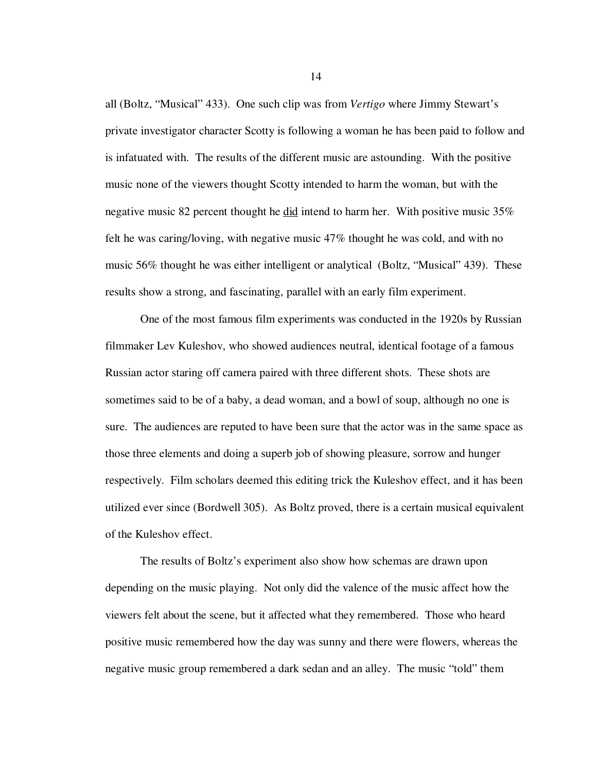all (Boltz, "Musical" 433). One such clip was from *Vertigo* where Jimmy Stewart's private investigator character Scotty is following a woman he has been paid to follow and is infatuated with. The results of the different music are astounding. With the positive music none of the viewers thought Scotty intended to harm the woman, but with the negative music 82 percent thought he did intend to harm her. With positive music 35% felt he was caring/loving, with negative music 47% thought he was cold, and with no music 56% thought he was either intelligent or analytical (Boltz, "Musical" 439). These results show a strong, and fascinating, parallel with an early film experiment.

One of the most famous film experiments was conducted in the 1920s by Russian filmmaker Lev Kuleshov, who showed audiences neutral, identical footage of a famous Russian actor staring off camera paired with three different shots. These shots are sometimes said to be of a baby, a dead woman, and a bowl of soup, although no one is sure. The audiences are reputed to have been sure that the actor was in the same space as those three elements and doing a superb job of showing pleasure, sorrow and hunger respectively. Film scholars deemed this editing trick the Kuleshov effect, and it has been utilized ever since (Bordwell 305). As Boltz proved, there is a certain musical equivalent of the Kuleshov effect.

The results of Boltz's experiment also show how schemas are drawn upon depending on the music playing. Not only did the valence of the music affect how the viewers felt about the scene, but it affected what they remembered. Those who heard positive music remembered how the day was sunny and there were flowers, whereas the negative music group remembered a dark sedan and an alley. The music "told" them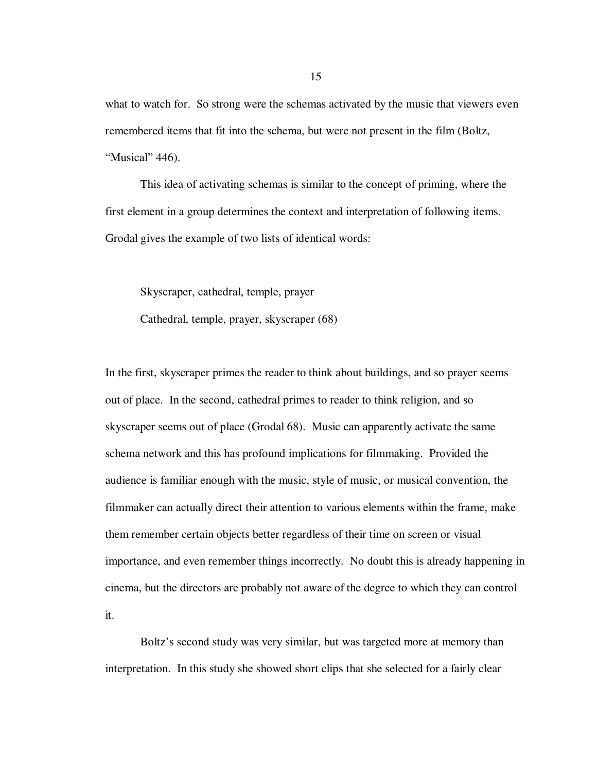what to watch for. So strong were the schemas activated by the music that viewers even remembered items that fit into the schema, but were not present in the film (Boltz, "Musical" 446).

This idea of activating schemas is similar to the concept of priming, where the first element in a group determines the context and interpretation of following items. Grodal gives the example of two lists of identical words:

Skyscraper, cathedral, temple, prayer

Cathedral, temple, prayer, skyscraper (68)

In the first, skyscraper primes the reader to think about buildings, and so prayer seems out of place. In the second, cathedral primes to reader to think religion, and so skyscraper seems out of place (Grodal 68). Music can apparently activate the same schema network and this has profound implications for filmmaking. Provided the audience is familiar enough with the music, style of music, or musical convention, the filmmaker can actually direct their attention to various elements within the frame, make them remember certain objects better regardless of their time on screen or visual importance, and even remember things incorrectly. No doubt this is already happening in cinema, but the directors are probably not aware of the degree to which they can control it.

Boltz's second study was very similar, but was targeted more at memory than interpretation. In this study she showed short clips that she selected for a fairly clear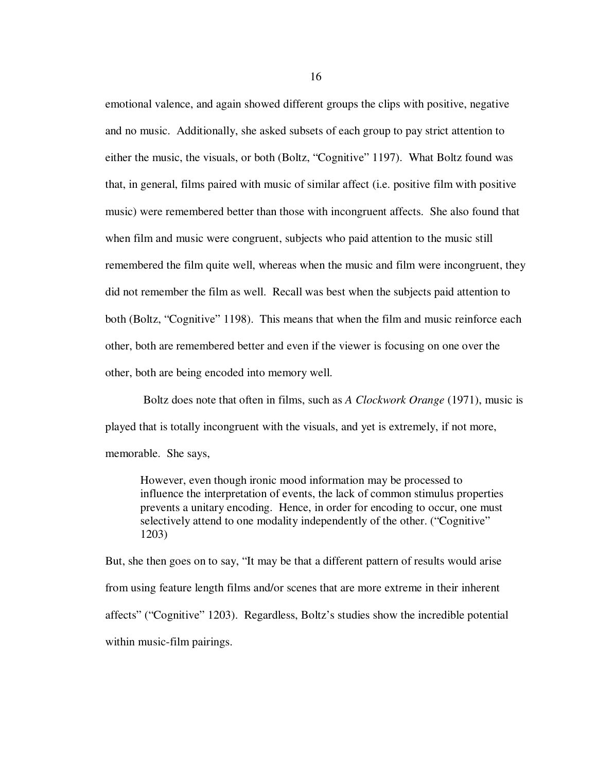emotional valence, and again showed different groups the clips with positive, negative and no music. Additionally, she asked subsets of each group to pay strict attention to either the music, the visuals, or both (Boltz, "Cognitive" 1197). What Boltz found was that, in general, films paired with music of similar affect (i.e. positive film with positive music) were remembered better than those with incongruent affects. She also found that when film and music were congruent, subjects who paid attention to the music still remembered the film quite well, whereas when the music and film were incongruent, they did not remember the film as well. Recall was best when the subjects paid attention to both (Boltz, "Cognitive" 1198). This means that when the film and music reinforce each other, both are remembered better and even if the viewer is focusing on one over the other, both are being encoded into memory well.

 Boltz does note that often in films, such as *A Clockwork Orange* (1971), music is played that is totally incongruent with the visuals, and yet is extremely, if not more, memorable. She says,

However, even though ironic mood information may be processed to influence the interpretation of events, the lack of common stimulus properties prevents a unitary encoding. Hence, in order for encoding to occur, one must selectively attend to one modality independently of the other. ("Cognitive" 1203)

But, she then goes on to say, "It may be that a different pattern of results would arise from using feature length films and/or scenes that are more extreme in their inherent affects" ("Cognitive" 1203). Regardless, Boltz's studies show the incredible potential within music-film pairings.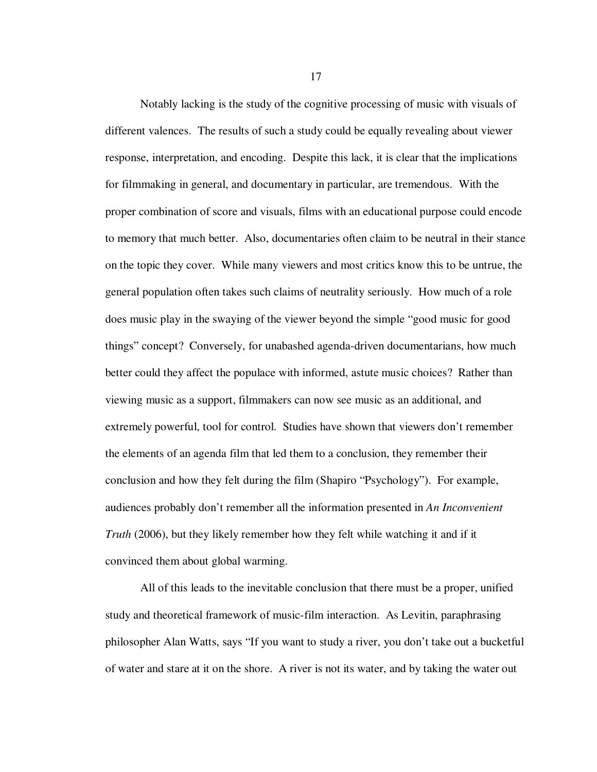Notably lacking is the study of the cognitive processing of music with visuals of different valences. The results of such a study could be equally revealing about viewer response, interpretation, and encoding. Despite this lack, it is clear that the implications for filmmaking in general, and documentary in particular, are tremendous. With the proper combination of score and visuals, films with an educational purpose could encode to memory that much better. Also, documentaries often claim to be neutral in their stance on the topic they cover. While many viewers and most critics know this to be untrue, the general population often takes such claims of neutrality seriously. How much of a role does music play in the swaying of the viewer beyond the simple "good music for good things" concept? Conversely, for unabashed agenda-driven documentarians, how much better could they affect the populace with informed, astute music choices? Rather than viewing music as a support, filmmakers can now see music as an additional, and extremely powerful, tool for control. Studies have shown that viewers don't remember the elements of an agenda film that led them to a conclusion, they remember their conclusion and how they felt during the film (Shapiro "Psychology"). For example, audiences probably don't remember all the information presented in *An Inconvenient Truth* (2006), but they likely remember how they felt while watching it and if it convinced them about global warming.

All of this leads to the inevitable conclusion that there must be a proper, unified study and theoretical framework of music-film interaction. As Levitin, paraphrasing philosopher Alan Watts, says "If you want to study a river, you don't take out a bucketful of water and stare at it on the shore. A river is not its water, and by taking the water out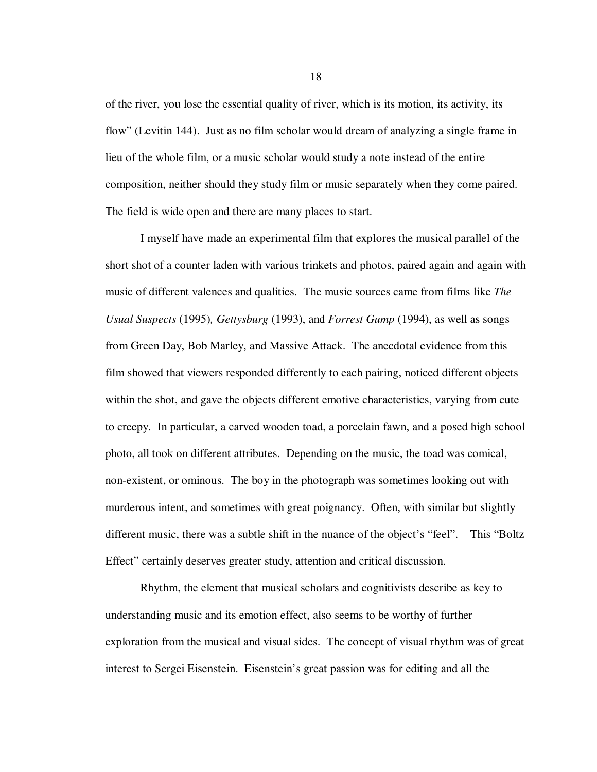of the river, you lose the essential quality of river, which is its motion, its activity, its flow" (Levitin 144). Just as no film scholar would dream of analyzing a single frame in lieu of the whole film, or a music scholar would study a note instead of the entire composition, neither should they study film or music separately when they come paired. The field is wide open and there are many places to start.

I myself have made an experimental film that explores the musical parallel of the short shot of a counter laden with various trinkets and photos, paired again and again with music of different valences and qualities. The music sources came from films like *The Usual Suspects* (1995)*, Gettysburg* (1993), and *Forrest Gump* (1994), as well as songs from Green Day, Bob Marley, and Massive Attack. The anecdotal evidence from this film showed that viewers responded differently to each pairing, noticed different objects within the shot, and gave the objects different emotive characteristics, varying from cute to creepy. In particular, a carved wooden toad, a porcelain fawn, and a posed high school photo, all took on different attributes. Depending on the music, the toad was comical, non-existent, or ominous. The boy in the photograph was sometimes looking out with murderous intent, and sometimes with great poignancy. Often, with similar but slightly different music, there was a subtle shift in the nuance of the object's "feel". This "Boltz Effect" certainly deserves greater study, attention and critical discussion.

Rhythm, the element that musical scholars and cognitivists describe as key to understanding music and its emotion effect, also seems to be worthy of further exploration from the musical and visual sides. The concept of visual rhythm was of great interest to Sergei Eisenstein. Eisenstein's great passion was for editing and all the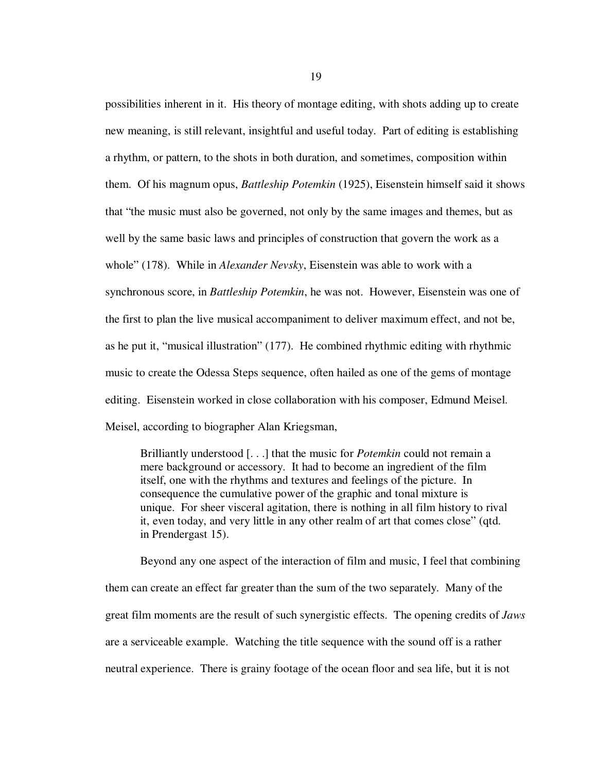possibilities inherent in it. His theory of montage editing, with shots adding up to create new meaning, is still relevant, insightful and useful today. Part of editing is establishing a rhythm, or pattern, to the shots in both duration, and sometimes, composition within them. Of his magnum opus, *Battleship Potemkin* (1925), Eisenstein himself said it shows that "the music must also be governed, not only by the same images and themes, but as well by the same basic laws and principles of construction that govern the work as a whole" (178). While in *Alexander Nevsky*, Eisenstein was able to work with a synchronous score, in *Battleship Potemkin*, he was not. However, Eisenstein was one of the first to plan the live musical accompaniment to deliver maximum effect, and not be, as he put it, "musical illustration" (177). He combined rhythmic editing with rhythmic music to create the Odessa Steps sequence, often hailed as one of the gems of montage editing. Eisenstein worked in close collaboration with his composer, Edmund Meisel. Meisel, according to biographer Alan Kriegsman,

Brilliantly understood [. . .] that the music for *Potemkin* could not remain a mere background or accessory. It had to become an ingredient of the film itself, one with the rhythms and textures and feelings of the picture. In consequence the cumulative power of the graphic and tonal mixture is unique. For sheer visceral agitation, there is nothing in all film history to rival it, even today, and very little in any other realm of art that comes close" (qtd. in Prendergast 15).

Beyond any one aspect of the interaction of film and music, I feel that combining them can create an effect far greater than the sum of the two separately. Many of the great film moments are the result of such synergistic effects. The opening credits of *Jaws* are a serviceable example. Watching the title sequence with the sound off is a rather neutral experience. There is grainy footage of the ocean floor and sea life, but it is not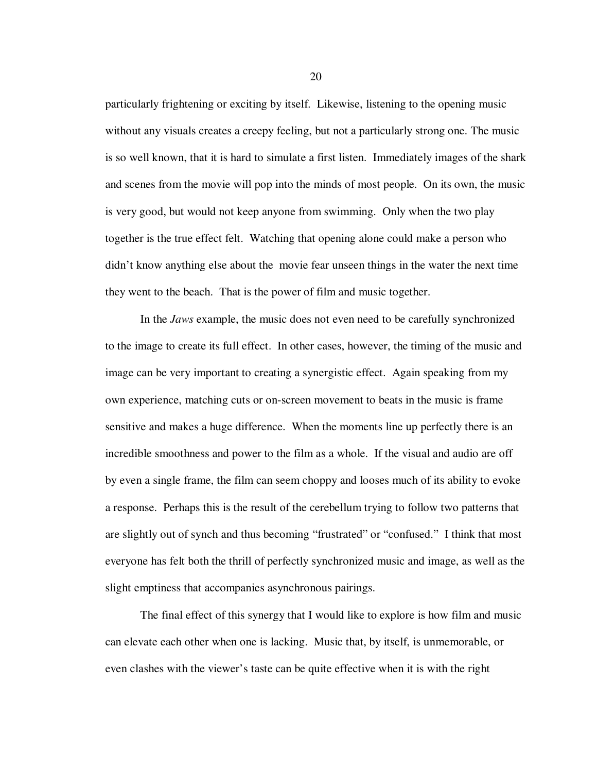particularly frightening or exciting by itself. Likewise, listening to the opening music without any visuals creates a creepy feeling, but not a particularly strong one. The music is so well known, that it is hard to simulate a first listen. Immediately images of the shark and scenes from the movie will pop into the minds of most people. On its own, the music is very good, but would not keep anyone from swimming. Only when the two play together is the true effect felt. Watching that opening alone could make a person who didn't know anything else about the movie fear unseen things in the water the next time they went to the beach. That is the power of film and music together.

In the *Jaws* example, the music does not even need to be carefully synchronized to the image to create its full effect. In other cases, however, the timing of the music and image can be very important to creating a synergistic effect. Again speaking from my own experience, matching cuts or on-screen movement to beats in the music is frame sensitive and makes a huge difference. When the moments line up perfectly there is an incredible smoothness and power to the film as a whole. If the visual and audio are off by even a single frame, the film can seem choppy and looses much of its ability to evoke a response. Perhaps this is the result of the cerebellum trying to follow two patterns that are slightly out of synch and thus becoming "frustrated" or "confused." I think that most everyone has felt both the thrill of perfectly synchronized music and image, as well as the slight emptiness that accompanies asynchronous pairings.

The final effect of this synergy that I would like to explore is how film and music can elevate each other when one is lacking. Music that, by itself, is unmemorable, or even clashes with the viewer's taste can be quite effective when it is with the right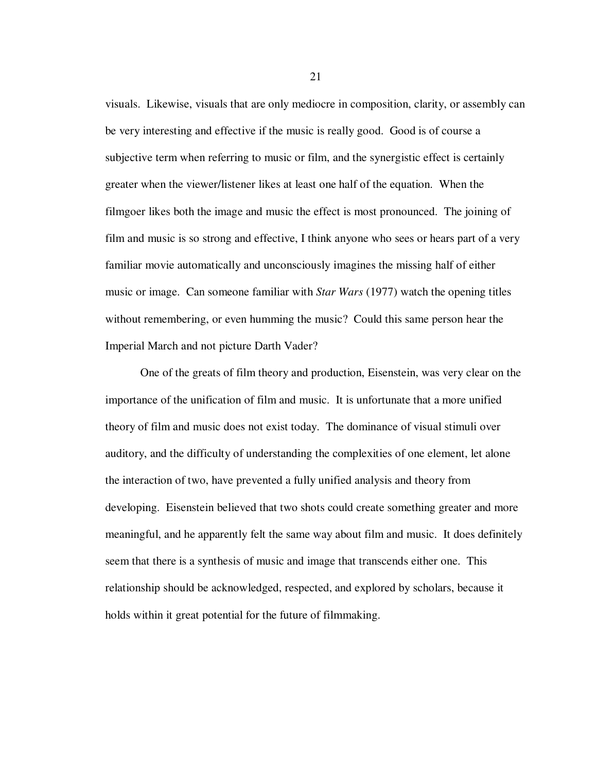visuals. Likewise, visuals that are only mediocre in composition, clarity, or assembly can be very interesting and effective if the music is really good. Good is of course a subjective term when referring to music or film, and the synergistic effect is certainly greater when the viewer/listener likes at least one half of the equation. When the filmgoer likes both the image and music the effect is most pronounced. The joining of film and music is so strong and effective, I think anyone who sees or hears part of a very familiar movie automatically and unconsciously imagines the missing half of either music or image. Can someone familiar with *Star Wars* (1977) watch the opening titles without remembering, or even humming the music? Could this same person hear the Imperial March and not picture Darth Vader?

One of the greats of film theory and production, Eisenstein, was very clear on the importance of the unification of film and music. It is unfortunate that a more unified theory of film and music does not exist today. The dominance of visual stimuli over auditory, and the difficulty of understanding the complexities of one element, let alone the interaction of two, have prevented a fully unified analysis and theory from developing. Eisenstein believed that two shots could create something greater and more meaningful, and he apparently felt the same way about film and music. It does definitely seem that there is a synthesis of music and image that transcends either one. This relationship should be acknowledged, respected, and explored by scholars, because it holds within it great potential for the future of filmmaking.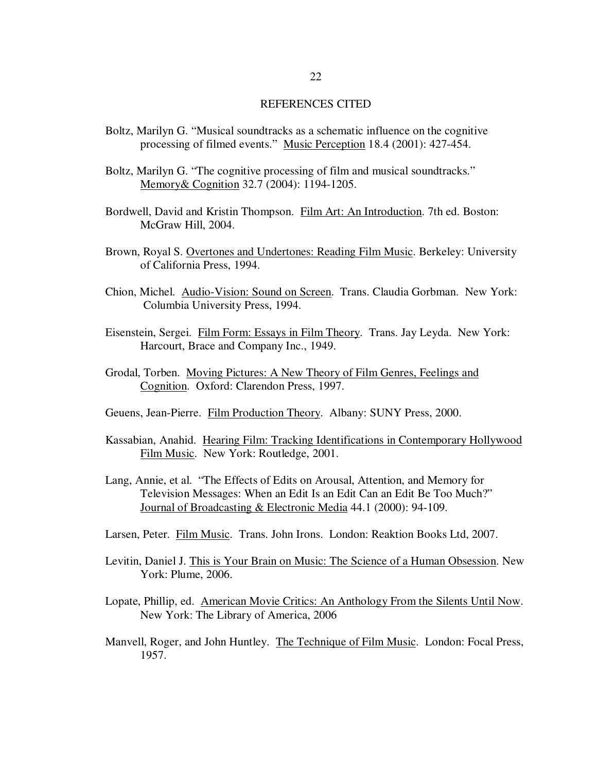#### REFERENCES CITED

- Boltz, Marilyn G. "Musical soundtracks as a schematic influence on the cognitive processing of filmed events." Music Perception 18.4 (2001): 427-454.
- Boltz, Marilyn G. "The cognitive processing of film and musical soundtracks." Memory& Cognition 32.7 (2004): 1194-1205.
- Bordwell, David and Kristin Thompson. Film Art: An Introduction. 7th ed. Boston: McGraw Hill, 2004.
- Brown, Royal S. Overtones and Undertones: Reading Film Music. Berkeley: University of California Press, 1994.
- Chion, Michel. Audio-Vision: Sound on Screen. Trans. Claudia Gorbman. New York: Columbia University Press, 1994.
- Eisenstein, Sergei. Film Form: Essays in Film Theory. Trans. Jay Leyda. New York: Harcourt, Brace and Company Inc., 1949.
- Grodal, Torben. Moving Pictures: A New Theory of Film Genres, Feelings and Cognition. Oxford: Clarendon Press, 1997.
- Geuens, Jean-Pierre. Film Production Theory. Albany: SUNY Press, 2000.
- Kassabian, Anahid. Hearing Film: Tracking Identifications in Contemporary Hollywood Film Music. New York: Routledge, 2001.
- Lang, Annie, et al. "The Effects of Edits on Arousal, Attention, and Memory for Television Messages: When an Edit Is an Edit Can an Edit Be Too Much?" Journal of Broadcasting & Electronic Media 44.1 (2000): 94-109.
- Larsen, Peter. Film Music. Trans. John Irons. London: Reaktion Books Ltd, 2007.
- Levitin, Daniel J. This is Your Brain on Music: The Science of a Human Obsession. New York: Plume, 2006.
- Lopate, Phillip, ed. American Movie Critics: An Anthology From the Silents Until Now. New York: The Library of America, 2006
- Manvell, Roger, and John Huntley. The Technique of Film Music. London: Focal Press, 1957.